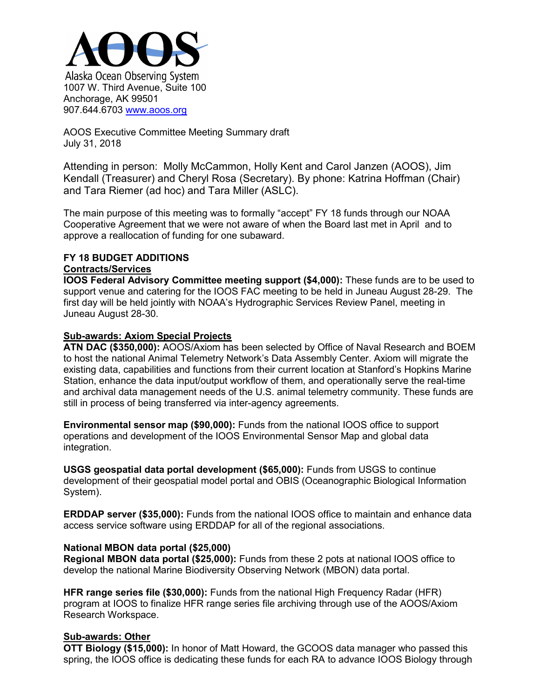

AOOS Executive Committee Meeting Summary draft July 31, 2018

Attending in person: Molly McCammon, Holly Kent and Carol Janzen (AOOS), Jim Kendall (Treasurer) and Cheryl Rosa (Secretary). By phone: Katrina Hoffman (Chair) and Tara Riemer (ad hoc) and Tara Miller (ASLC).

The main purpose of this meeting was to formally "accept" FY 18 funds through our NOAA Cooperative Agreement that we were not aware of when the Board last met in April and to approve a reallocation of funding for one subaward.

# **FY 18 BUDGET ADDITIONS**

#### **Contracts/Services**

**IOOS Federal Advisory Committee meeting support (\$4,000):** These funds are to be used to support venue and catering for the IOOS FAC meeting to be held in Juneau August 28-29. The first day will be held jointly with NOAA's Hydrographic Services Review Panel, meeting in Juneau August 28-30.

#### **Sub-awards: Axiom Special Projects**

**ATN DAC (\$350,000):** AOOS/Axiom has been selected by Office of Naval Research and BOEM to host the national Animal Telemetry Network's Data Assembly Center. Axiom will migrate the existing data, capabilities and functions from their current location at Stanford's Hopkins Marine Station, enhance the data input/output workflow of them, and operationally serve the real-time and archival data management needs of the U.S. animal telemetry community. These funds are still in process of being transferred via inter-agency agreements.

**Environmental sensor map (\$90,000):** Funds from the national IOOS office to support operations and development of the IOOS Environmental Sensor Map and global data integration.

**USGS geospatial data portal development (\$65,000):** Funds from USGS to continue development of their geospatial model portal and OBIS (Oceanographic Biological Information System).

**ERDDAP server (\$35,000):** Funds from the national IOOS office to maintain and enhance data access service software using ERDDAP for all of the regional associations.

#### **National MBON data portal (\$25,000)**

**Regional MBON data portal (\$25,000):** Funds from these 2 pots at national IOOS office to develop the national Marine Biodiversity Observing Network (MBON) data portal.

**HFR range series file (\$30,000):** Funds from the national High Frequency Radar (HFR) program at IOOS to finalize HFR range series file archiving through use of the AOOS/Axiom Research Workspace.

## **Sub-awards: Other**

**OTT Biology (\$15,000):** In honor of Matt Howard, the GCOOS data manager who passed this spring, the IOOS office is dedicating these funds for each RA to advance IOOS Biology through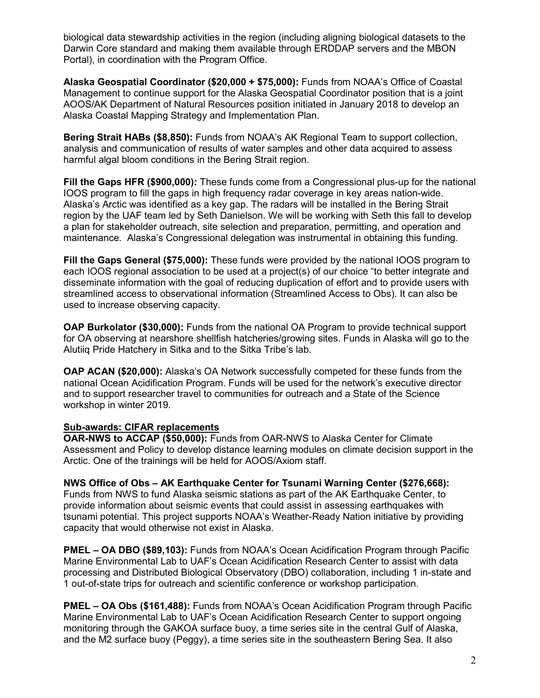biological data stewardship activities in the region (including aligning biological datasets to the Darwin Core standard and making them available through ERDDAP servers and the MBON Portal), in coordination with the Program Office.

**Alaska Geospatial Coordinator (\$20,000 + \$75,000):** Funds from NOAA's Office of Coastal Management to continue support for the Alaska Geospatial Coordinator position that is a joint AOOS/AK Department of Natural Resources position initiated in January 2018 to develop an Alaska Coastal Mapping Strategy and Implementation Plan.

**Bering Strait HABs (\$8,850):** Funds from NOAA's AK Regional Team to support collection, analysis and communication of results of water samples and other data acquired to assess harmful algal bloom conditions in the Bering Strait region.

**Fill the Gaps HFR (\$900,000):** These funds come from a Congressional plus-up for the national IOOS program to fill the gaps in high frequency radar coverage in key areas nation-wide. Alaska's Arctic was identified as a key gap. The radars will be installed in the Bering Strait region by the UAF team led by Seth Danielson. We will be working with Seth this fall to develop a plan for stakeholder outreach, site selection and preparation, permitting, and operation and maintenance. Alaska's Congressional delegation was instrumental in obtaining this funding.

**Fill the Gaps General (\$75,000):** These funds were provided by the national IOOS program to each IOOS regional association to be used at a project(s) of our choice "to better integrate and disseminate information with the goal of reducing duplication of effort and to provide users with streamlined access to observational information (Streamlined Access to Obs). It can also be used to increase observing capacity.

**OAP Burkolator (\$30,000):** Funds from the national OA Program to provide technical support for OA observing at nearshore shellfish hatcheries/growing sites. Funds in Alaska will go to the Alutiiq Pride Hatchery in Sitka and to the Sitka Tribe's lab.

**OAP ACAN (\$20,000):** Alaska's OA Network successfully competed for these funds from the national Ocean Acidification Program. Funds will be used for the network's executive director and to support researcher travel to communities for outreach and a State of the Science workshop in winter 2019.

## **Sub-awards: CIFAR replacements**

**OAR-NWS to ACCAP (\$50,000):** Funds from OAR-NWS to Alaska Center for Climate Assessment and Policy to develop distance learning modules on climate decision support in the Arctic. One of the trainings will be held for AOOS/Axiom staff.

**NWS Office of Obs – AK Earthquake Center for Tsunami Warning Center (\$276,668):**  Funds from NWS to fund Alaska seismic stations as part of the AK Earthquake Center, to provide information about seismic events that could assist in assessing earthquakes with tsunami potential. This project supports NOAA's Weather-Ready Nation initiative by providing capacity that would otherwise not exist in Alaska.

**PMEL – OA DBO (\$89,103):** Funds from NOAA's Ocean Acidification Program through Pacific Marine Environmental Lab to UAF's Ocean Acidification Research Center to assist with data processing and Distributed Biological Observatory (DBO) collaboration, including 1 in-state and 1 out-of-state trips for outreach and scientific conference or workshop participation.

**PMEL – OA Obs (\$161,488):** Funds from NOAA's Ocean Acidification Program through Pacific Marine Environmental Lab to UAF's Ocean Acidification Research Center to support ongoing monitoring through the GAKOA surface buoy, a time series site in the central Gulf of Alaska, and the M2 surface buoy (Peggy), a time series site in the southeastern Bering Sea. It also